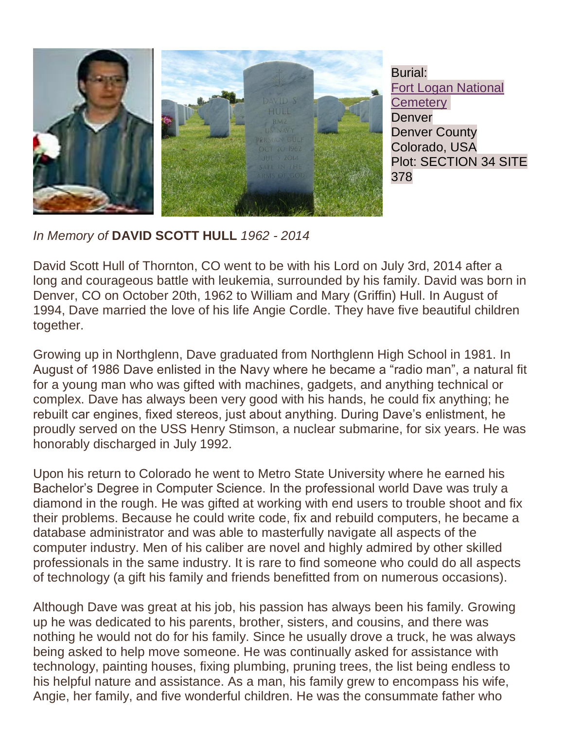

*In Memory of* **DAVID SCOTT HULL** *1962 - 2014*

David Scott Hull of Thornton, CO went to be with his Lord on July 3rd, 2014 after a long and courageous battle with leukemia, surrounded by his family. David was born in Denver, CO on October 20th, 1962 to William and Mary (Griffin) Hull. In August of 1994, Dave married the love of his life Angie Cordle. They have five beautiful children together.

Growing up in Northglenn, Dave graduated from Northglenn High School in 1981. In August of 1986 Dave enlisted in the Navy where he became a "radio man", a natural fit for a young man who was gifted with machines, gadgets, and anything technical or complex. Dave has always been very good with his hands, he could fix anything; he rebuilt car engines, fixed stereos, just about anything. During Dave's enlistment, he proudly served on the USS Henry Stimson, a nuclear submarine, for six years. He was honorably discharged in July 1992.

Upon his return to Colorado he went to Metro State University where he earned his Bachelor's Degree in Computer Science. In the professional world Dave was truly a diamond in the rough. He was gifted at working with end users to trouble shoot and fix their problems. Because he could write code, fix and rebuild computers, he became a database administrator and was able to masterfully navigate all aspects of the computer industry. Men of his caliber are novel and highly admired by other skilled professionals in the same industry. It is rare to find someone who could do all aspects of technology (a gift his family and friends benefitted from on numerous occasions).

Although Dave was great at his job, his passion has always been his family. Growing up he was dedicated to his parents, brother, sisters, and cousins, and there was nothing he would not do for his family. Since he usually drove a truck, he was always being asked to help move someone. He was continually asked for assistance with technology, painting houses, fixing plumbing, pruning trees, the list being endless to his helpful nature and assistance. As a man, his family grew to encompass his wife, Angie, her family, and five wonderful children. He was the consummate father who